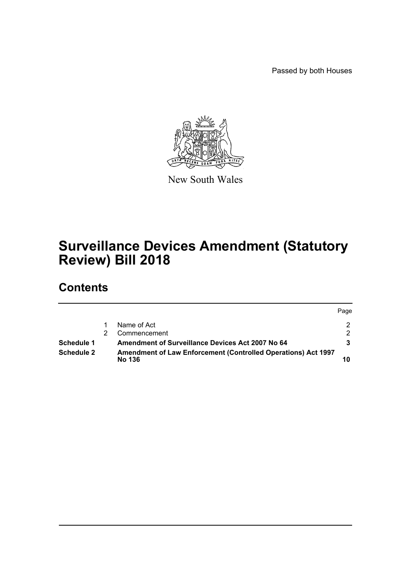Passed by both Houses



New South Wales

# **Surveillance Devices Amendment (Statutory Review) Bill 2018**

# **Contents**

|                   |                                                                                       | Page |
|-------------------|---------------------------------------------------------------------------------------|------|
|                   | Name of Act                                                                           |      |
|                   | Commencement                                                                          |      |
| Schedule 1        | Amendment of Surveillance Devices Act 2007 No 64                                      |      |
| <b>Schedule 2</b> | <b>Amendment of Law Enforcement (Controlled Operations) Act 1997</b><br><b>No 136</b> |      |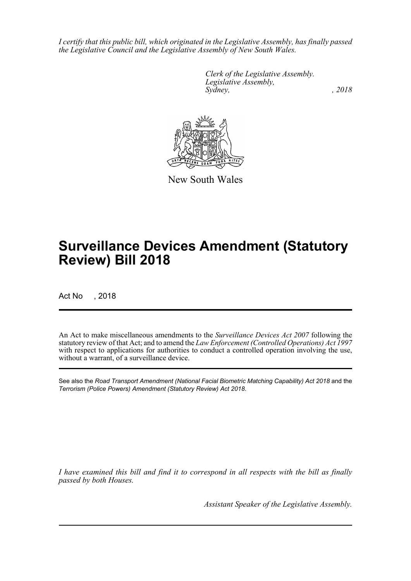*I certify that this public bill, which originated in the Legislative Assembly, has finally passed the Legislative Council and the Legislative Assembly of New South Wales.*

> *Clerk of the Legislative Assembly. Legislative Assembly, Sydney, , 2018*



New South Wales

# **Surveillance Devices Amendment (Statutory Review) Bill 2018**

Act No , 2018

An Act to make miscellaneous amendments to the *Surveillance Devices Act 2007* following the statutory review of that Act; and to amend the *Law Enforcement (Controlled Operations) Act 1997* with respect to applications for authorities to conduct a controlled operation involving the use, without a warrant, of a surveillance device.

See also the *Road Transport Amendment (National Facial Biometric Matching Capability) Act 2018* and the *Terrorism (Police Powers) Amendment (Statutory Review) Act 2018*.

*I have examined this bill and find it to correspond in all respects with the bill as finally passed by both Houses.*

*Assistant Speaker of the Legislative Assembly.*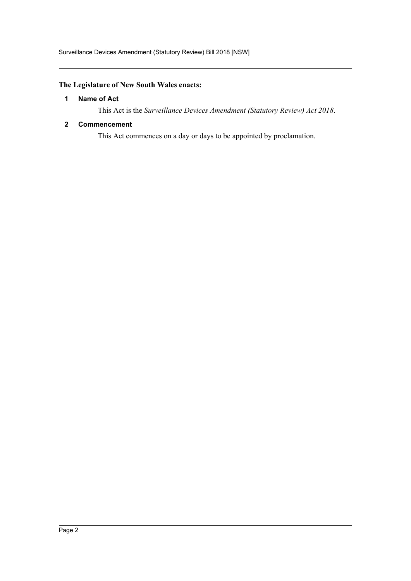## <span id="page-2-0"></span>**The Legislature of New South Wales enacts:**

## **1 Name of Act**

This Act is the *Surveillance Devices Amendment (Statutory Review) Act 2018*.

### <span id="page-2-1"></span>**2 Commencement**

This Act commences on a day or days to be appointed by proclamation.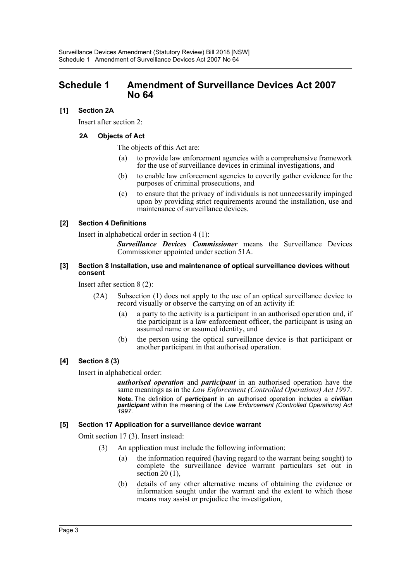## <span id="page-3-0"></span>**Schedule 1 Amendment of Surveillance Devices Act 2007 No 64**

## **[1] Section 2A**

Insert after section 2:

## **2A Objects of Act**

The objects of this Act are:

- (a) to provide law enforcement agencies with a comprehensive framework for the use of surveillance devices in criminal investigations, and
- (b) to enable law enforcement agencies to covertly gather evidence for the purposes of criminal prosecutions, and
- (c) to ensure that the privacy of individuals is not unnecessarily impinged upon by providing strict requirements around the installation, use and maintenance of surveillance devices.

### **[2] Section 4 Definitions**

Insert in alphabetical order in section 4 (1):

*Surveillance Devices Commissioner* means the Surveillance Devices Commissioner appointed under section 51A.

#### **[3] Section 8 Installation, use and maintenance of optical surveillance devices without consent**

Insert after section 8 (2):

- (2A) Subsection (1) does not apply to the use of an optical surveillance device to record visually or observe the carrying on of an activity if:
	- (a) a party to the activity is a participant in an authorised operation and, if the participant is a law enforcement officer, the participant is using an assumed name or assumed identity, and
	- (b) the person using the optical surveillance device is that participant or another participant in that authorised operation.

## **[4] Section 8 (3)**

Insert in alphabetical order:

*authorised operation* and *participant* in an authorised operation have the same meanings as in the *Law Enforcement (Controlled Operations) Act 1997*. **Note.** The definition of *participant* in an authorised operation includes a *civilian participant* within the meaning of the *Law Enforcement (Controlled Operations) Act 1997*.

#### **[5] Section 17 Application for a surveillance device warrant**

Omit section 17 (3). Insert instead:

- (3) An application must include the following information:
	- (a) the information required (having regard to the warrant being sought) to complete the surveillance device warrant particulars set out in section  $20(1)$ ,
	- (b) details of any other alternative means of obtaining the evidence or information sought under the warrant and the extent to which those means may assist or prejudice the investigation,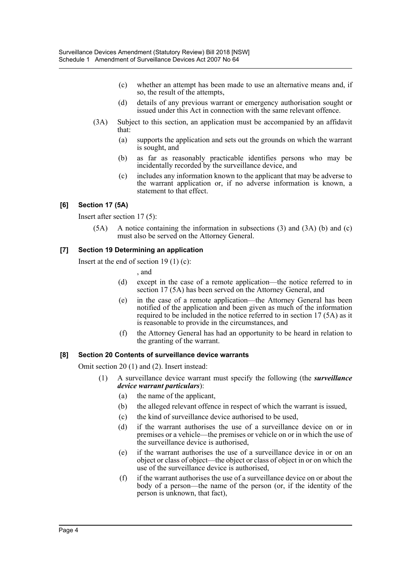- (c) whether an attempt has been made to use an alternative means and, if so, the result of the attempts,
- (d) details of any previous warrant or emergency authorisation sought or issued under this Act in connection with the same relevant offence.
- (3A) Subject to this section, an application must be accompanied by an affidavit that:
	- (a) supports the application and sets out the grounds on which the warrant is sought, and
	- (b) as far as reasonably practicable identifies persons who may be incidentally recorded by the surveillance device, and
	- (c) includes any information known to the applicant that may be adverse to the warrant application or, if no adverse information is known, a statement to that effect.

## **[6] Section 17 (5A)**

Insert after section 17 (5):

(5A) A notice containing the information in subsections (3) and (3A) (b) and (c) must also be served on the Attorney General.

## **[7] Section 19 Determining an application**

Insert at the end of section 19 $(1)$  $(c)$ :

, and

- (d) except in the case of a remote application—the notice referred to in section 17 (5A) has been served on the Attorney General, and
- (e) in the case of a remote application—the Attorney General has been notified of the application and been given as much of the information required to be included in the notice referred to in section 17 (5A) as it is reasonable to provide in the circumstances, and
- (f) the Attorney General has had an opportunity to be heard in relation to the granting of the warrant.

## **[8] Section 20 Contents of surveillance device warrants**

Omit section 20 (1) and (2). Insert instead:

- (1) A surveillance device warrant must specify the following (the *surveillance device warrant particulars*):
	- (a) the name of the applicant,
	- (b) the alleged relevant offence in respect of which the warrant is issued,
	- (c) the kind of surveillance device authorised to be used,
	- (d) if the warrant authorises the use of a surveillance device on or in premises or a vehicle—the premises or vehicle on or in which the use of the surveillance device is authorised,
	- (e) if the warrant authorises the use of a surveillance device in or on an object or class of object—the object or class of object in or on which the use of the surveillance device is authorised,
	- (f) if the warrant authorises the use of a surveillance device on or about the body of a person—the name of the person (or, if the identity of the person is unknown, that fact),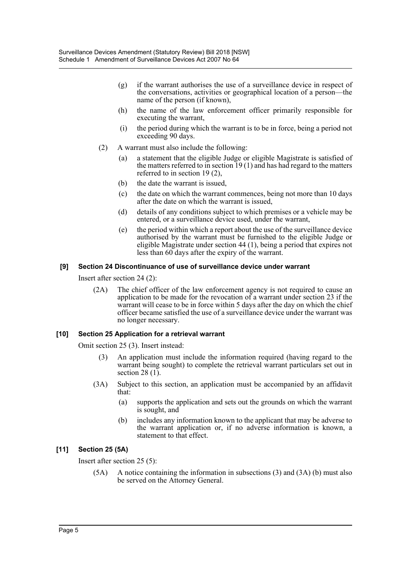- (g) if the warrant authorises the use of a surveillance device in respect of the conversations, activities or geographical location of a person—the name of the person (if known),
- (h) the name of the law enforcement officer primarily responsible for executing the warrant,
- (i) the period during which the warrant is to be in force, being a period not exceeding 90 days.
- (2) A warrant must also include the following:
	- (a) a statement that the eligible Judge or eligible Magistrate is satisfied of the matters referred to in section  $19(1)$  and has had regard to the matters referred to in section 19 (2),
	- (b) the date the warrant is issued,
	- (c) the date on which the warrant commences, being not more than 10 days after the date on which the warrant is issued,
	- (d) details of any conditions subject to which premises or a vehicle may be entered, or a surveillance device used, under the warrant,
	- (e) the period within which a report about the use of the surveillance device authorised by the warrant must be furnished to the eligible Judge or eligible Magistrate under section 44 (1), being a period that expires not less than 60 days after the expiry of the warrant.

#### **[9] Section 24 Discontinuance of use of surveillance device under warrant**

Insert after section 24 (2):

(2A) The chief officer of the law enforcement agency is not required to cause an application to be made for the revocation of a warrant under section 23 if the warrant will cease to be in force within 5 days after the day on which the chief officer became satisfied the use of a surveillance device under the warrant was no longer necessary.

#### **[10] Section 25 Application for a retrieval warrant**

Omit section 25 (3). Insert instead:

- (3) An application must include the information required (having regard to the warrant being sought) to complete the retrieval warrant particulars set out in section 28 $(1)$ .
- (3A) Subject to this section, an application must be accompanied by an affidavit that:
	- (a) supports the application and sets out the grounds on which the warrant is sought, and
	- (b) includes any information known to the applicant that may be adverse to the warrant application or, if no adverse information is known, a statement to that effect.

#### **[11] Section 25 (5A)**

Insert after section 25 (5):

(5A) A notice containing the information in subsections (3) and (3A) (b) must also be served on the Attorney General.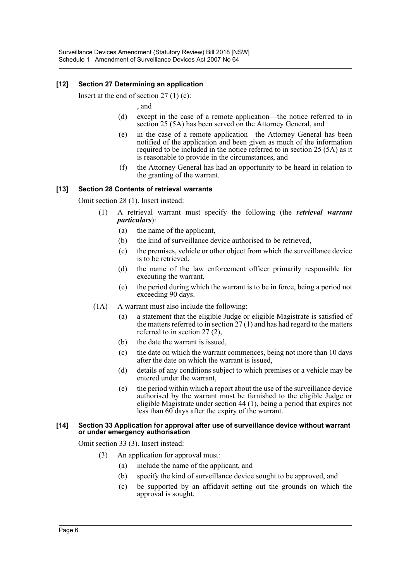## **[12] Section 27 Determining an application**

Insert at the end of section  $27(1)(c)$ :

, and

- (d) except in the case of a remote application—the notice referred to in section 25 (5A) has been served on the Attorney General, and
- (e) in the case of a remote application—the Attorney General has been notified of the application and been given as much of the information required to be included in the notice referred to in section 25 (5A) as it is reasonable to provide in the circumstances, and
- (f) the Attorney General has had an opportunity to be heard in relation to the granting of the warrant.

#### **[13] Section 28 Contents of retrieval warrants**

Omit section 28 (1). Insert instead:

- (1) A retrieval warrant must specify the following (the *retrieval warrant particulars*):
	- (a) the name of the applicant,
	- (b) the kind of surveillance device authorised to be retrieved,
	- (c) the premises, vehicle or other object from which the surveillance device is to be retrieved,
	- (d) the name of the law enforcement officer primarily responsible for executing the warrant,
	- (e) the period during which the warrant is to be in force, being a period not exceeding 90 days.
- (1A) A warrant must also include the following:
	- (a) a statement that the eligible Judge or eligible Magistrate is satisfied of the matters referred to in section  $27(1)$  and has had regard to the matters referred to in section 27 (2),
	- (b) the date the warrant is issued,
	- (c) the date on which the warrant commences, being not more than 10 days after the date on which the warrant is issued,
	- (d) details of any conditions subject to which premises or a vehicle may be entered under the warrant,
	- (e) the period within which a report about the use of the surveillance device authorised by the warrant must be furnished to the eligible Judge or eligible Magistrate under section 44 (1), being a period that expires not less than 60 days after the expiry of the warrant.

#### **[14] Section 33 Application for approval after use of surveillance device without warrant or under emergency authorisation**

Omit section 33 (3). Insert instead:

- (3) An application for approval must:
	- (a) include the name of the applicant, and
	- (b) specify the kind of surveillance device sought to be approved, and
	- (c) be supported by an affidavit setting out the grounds on which the approval is sought.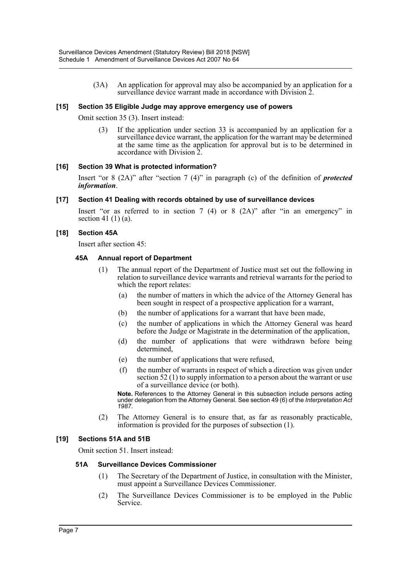(3A) An application for approval may also be accompanied by an application for a surveillance device warrant made in accordance with Division 2.

#### **[15] Section 35 Eligible Judge may approve emergency use of powers**

Omit section 35 (3). Insert instead:

(3) If the application under section 33 is accompanied by an application for a surveillance device warrant, the application for the warrant may be determined at the same time as the application for approval but is to be determined in accordance with Division 2.

#### **[16] Section 39 What is protected information?**

Insert "or 8 (2A)" after "section 7 (4)" in paragraph (c) of the definition of *protected information*.

#### **[17] Section 41 Dealing with records obtained by use of surveillance devices**

Insert "or as referred to in section  $7(4)$  or  $8(2)$ " after "in an emergency" in section 41 $(1)$  $(a)$ .

#### **[18] Section 45A**

Insert after section 45:

#### **45A Annual report of Department**

- (1) The annual report of the Department of Justice must set out the following in relation to surveillance device warrants and retrieval warrants for the period to which the report relates:
	- (a) the number of matters in which the advice of the Attorney General has been sought in respect of a prospective application for a warrant,
	- (b) the number of applications for a warrant that have been made,
	- (c) the number of applications in which the Attorney General was heard before the Judge or Magistrate in the determination of the application,
	- (d) the number of applications that were withdrawn before being determined,
	- (e) the number of applications that were refused,
	- (f) the number of warrants in respect of which a direction was given under section 52 (1) to supply information to a person about the warrant or use of a surveillance device (or both).

**Note.** References to the Attorney General in this subsection include persons acting under delegation from the Attorney General. See section 49 (6) of the *Interpretation Act 1987*.

(2) The Attorney General is to ensure that, as far as reasonably practicable, information is provided for the purposes of subsection (1).

#### **[19] Sections 51A and 51B**

Omit section 51. Insert instead:

#### **51A Surveillance Devices Commissioner**

- (1) The Secretary of the Department of Justice, in consultation with the Minister, must appoint a Surveillance Devices Commissioner.
- (2) The Surveillance Devices Commissioner is to be employed in the Public Service.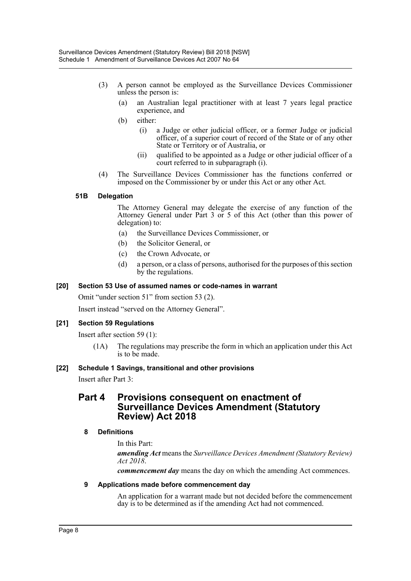- (3) A person cannot be employed as the Surveillance Devices Commissioner unless the person is:
	- (a) an Australian legal practitioner with at least 7 years legal practice experience, and
	- (b) either:
		- (i) a Judge or other judicial officer, or a former Judge or judicial officer, of a superior court of record of the State or of any other State or Territory or of Australia, or
		- (ii) qualified to be appointed as a Judge or other judicial officer of a court referred to in subparagraph (i).
- (4) The Surveillance Devices Commissioner has the functions conferred or imposed on the Commissioner by or under this Act or any other Act.

#### **51B Delegation**

The Attorney General may delegate the exercise of any function of the Attorney General under Part 3 or 5 of this Act (other than this power of delegation) to:

- (a) the Surveillance Devices Commissioner, or
- (b) the Solicitor General, or
- (c) the Crown Advocate, or
- (d) a person, or a class of persons, authorised for the purposes of this section by the regulations.

#### **[20] Section 53 Use of assumed names or code-names in warrant**

Omit "under section 51" from section 53 (2).

Insert instead "served on the Attorney General".

#### **[21] Section 59 Regulations**

Insert after section 59 (1):

(1A) The regulations may prescribe the form in which an application under this Act is to be made.

#### **[22] Schedule 1 Savings, transitional and other provisions**

Insert after Part 3:

## **Part 4 Provisions consequent on enactment of Surveillance Devices Amendment (Statutory Review) Act 2018**

#### **8 Definitions**

In this Part:

*amending Act* means the *Surveillance Devices Amendment (Statutory Review) Act 2018*.

*commencement day* means the day on which the amending Act commences.

#### **9 Applications made before commencement day**

An application for a warrant made but not decided before the commencement day is to be determined as if the amending Act had not commenced.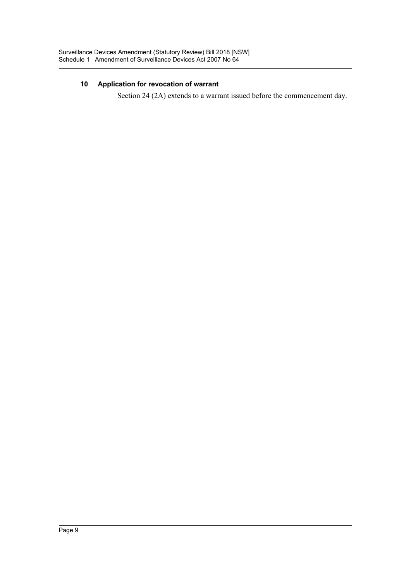## **10 Application for revocation of warrant**

Section 24 (2A) extends to a warrant issued before the commencement day.